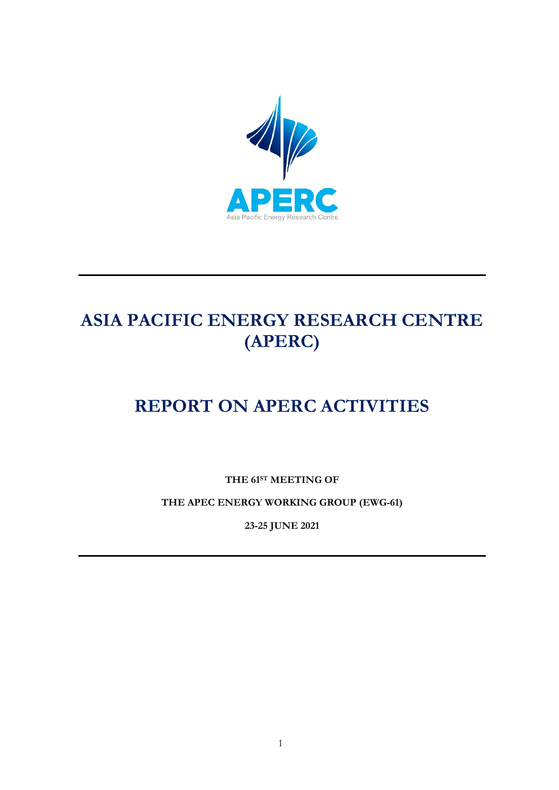

# **ASIA PACIFIC ENERGY RESEARCH CENTRE (APERC)**

# **REPORT ON APERC ACTIVITIES**

**THE 61ST MEETING OF**

**THE APEC ENERGY WORKING GROUP (EWG-61)**

**23-25 JUNE 2021**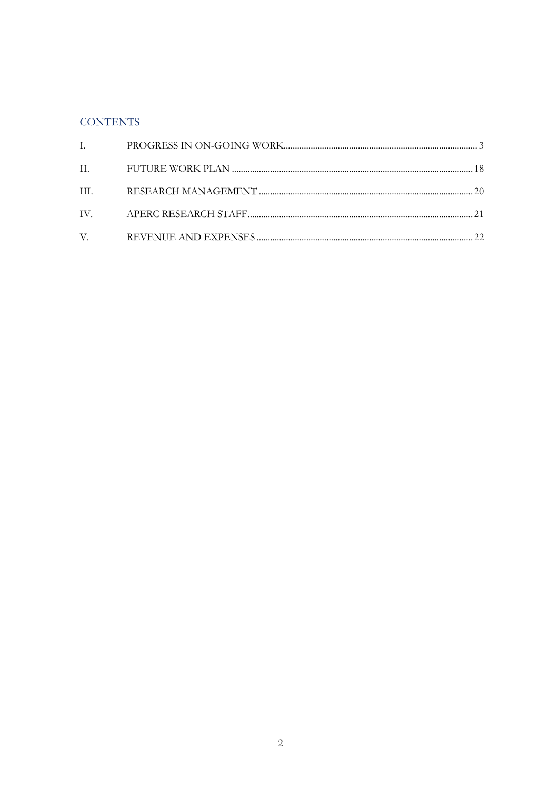### **CONTENTS**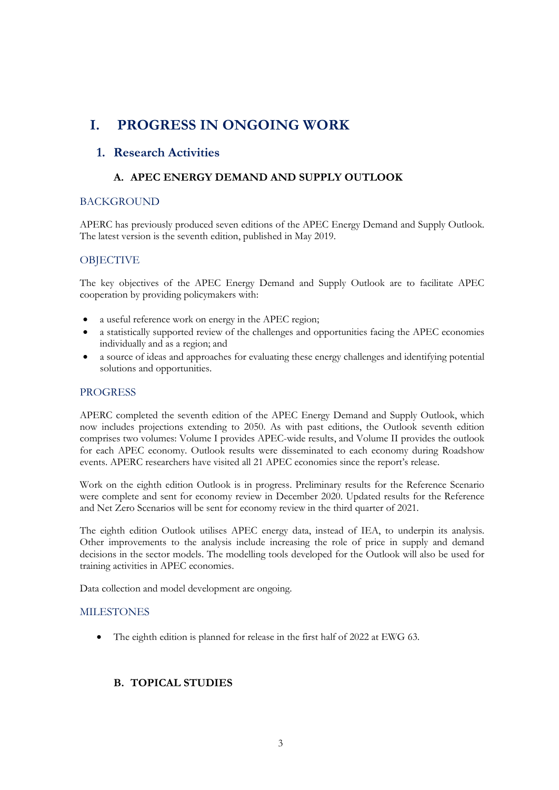# <span id="page-2-0"></span>**I. PROGRESS IN ONGOING WORK**

### **1. Research Activities**

### **A. APEC ENERGY DEMAND AND SUPPLY OUTLOOK**

### **BACKGROUND**

APERC has previously produced seven editions of the APEC Energy Demand and Supply Outlook. The latest version is the seventh edition, published in May 2019.

### **OBJECTIVE**

The key objectives of the APEC Energy Demand and Supply Outlook are to facilitate APEC cooperation by providing policymakers with:

- a useful reference work on energy in the APEC region;
- a statistically supported review of the challenges and opportunities facing the APEC economies individually and as a region; and
- a source of ideas and approaches for evaluating these energy challenges and identifying potential solutions and opportunities.

### **PROGRESS**

APERC completed the seventh edition of the APEC Energy Demand and Supply Outlook, which now includes projections extending to 2050. As with past editions, the Outlook seventh edition comprises two volumes: Volume I provides APEC-wide results, and Volume II provides the outlook for each APEC economy. Outlook results were disseminated to each economy during Roadshow events. APERC researchers have visited all 21 APEC economies since the report's release.

Work on the eighth edition Outlook is in progress. Preliminary results for the Reference Scenario were complete and sent for economy review in December 2020. Updated results for the Reference and Net Zero Scenarios will be sent for economy review in the third quarter of 2021.

The eighth edition Outlook utilises APEC energy data, instead of IEA, to underpin its analysis. Other improvements to the analysis include increasing the role of price in supply and demand decisions in the sector models. The modelling tools developed for the Outlook will also be used for training activities in APEC economies.

Data collection and model development are ongoing.

### MILESTONES

The eighth edition is planned for release in the first half of 2022 at EWG 63.

### **B. TOPICAL STUDIES**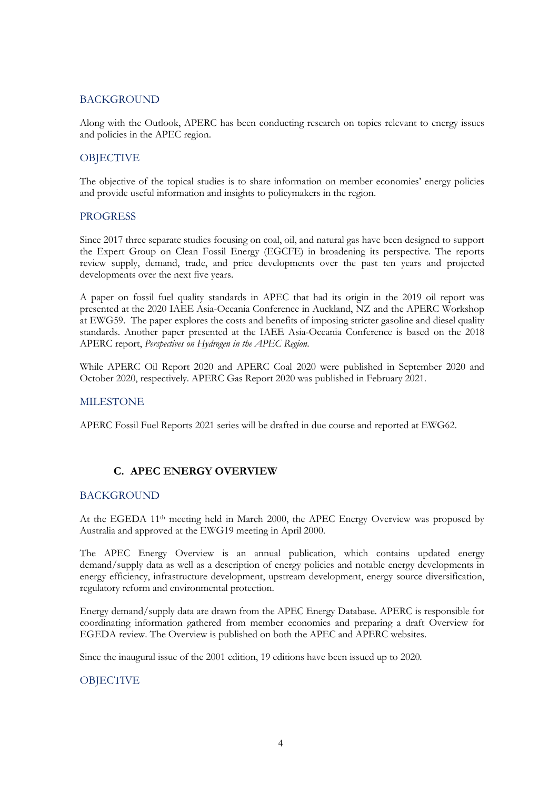### **BACKGROUND**

Along with the Outlook, APERC has been conducting research on topics relevant to energy issues and policies in the APEC region.

### **OBIECTIVE**

The objective of the topical studies is to share information on member economies' energy policies and provide useful information and insights to policymakers in the region.

### PROGRESS

Since 2017 three separate studies focusing on coal, oil, and natural gas have been designed to support the Expert Group on Clean Fossil Energy (EGCFE) in broadening its perspective. The reports review supply, demand, trade, and price developments over the past ten years and projected developments over the next five years.

A paper on fossil fuel quality standards in APEC that had its origin in the 2019 oil report was presented at the 2020 IAEE Asia-Oceania Conference in Auckland, NZ and the APERC Workshop at EWG59. The paper explores the costs and benefits of imposing stricter gasoline and diesel quality standards. Another paper presented at the IAEE Asia-Oceania Conference is based on the 2018 APERC report, *Perspectives on Hydrogen in the APEC Region*.

While APERC Oil Report 2020 and APERC Coal 2020 were published in September 2020 and October 2020, respectively. APERC Gas Report 2020 was published in February 2021.

### MILESTONE

APERC Fossil Fuel Reports 2021 series will be drafted in due course and reported at EWG62.

### **C. APEC ENERGY OVERVIEW**

### **BACKGROUND**

At the EGEDA  $11<sup>th</sup>$  meeting held in March 2000, the APEC Energy Overview was proposed by Australia and approved at the EWG19 meeting in April 2000.

The APEC Energy Overview is an annual publication, which contains updated energy demand/supply data as well as a description of energy policies and notable energy developments in energy efficiency, infrastructure development, upstream development, energy source diversification, regulatory reform and environmental protection.

Energy demand/supply data are drawn from the APEC Energy Database. APERC is responsible for coordinating information gathered from member economies and preparing a draft Overview for EGEDA review. The Overview is published on both the APEC and APERC websites.

Since the inaugural issue of the 2001 edition, 19 editions have been issued up to 2020.

### **OBJECTIVE**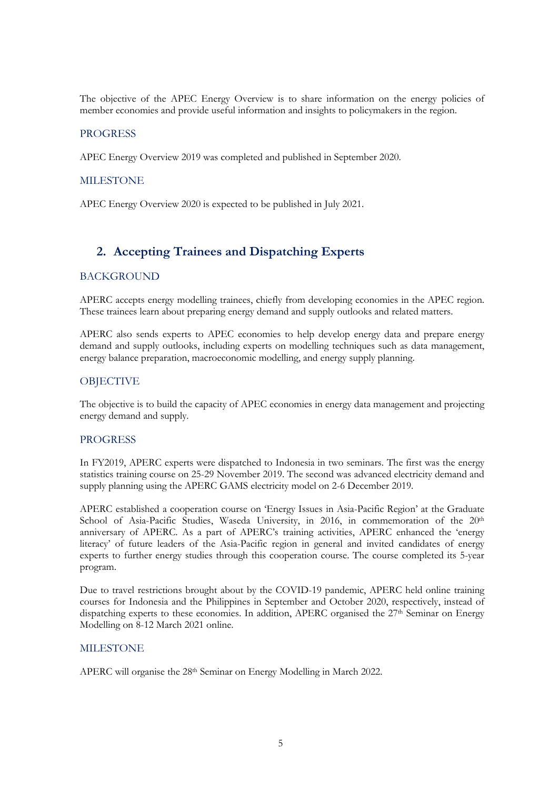The objective of the APEC Energy Overview is to share information on the energy policies of member economies and provide useful information and insights to policymakers in the region.

#### **PROGRESS**

APEC Energy Overview 2019 was completed and published in September 2020.

#### **MILESTONE**

APEC Energy Overview 2020 is expected to be published in July 2021.

### **2. Accepting Trainees and Dispatching Experts**

#### BACKGROUND

APERC accepts energy modelling trainees, chiefly from developing economies in the APEC region. These trainees learn about preparing energy demand and supply outlooks and related matters.

APERC also sends experts to APEC economies to help develop energy data and prepare energy demand and supply outlooks, including experts on modelling techniques such as data management, energy balance preparation, macroeconomic modelling, and energy supply planning.

#### **OBJECTIVE**

The objective is to build the capacity of APEC economies in energy data management and projecting energy demand and supply.

#### PROGRESS

In FY2019, APERC experts were dispatched to Indonesia in two seminars. The first was the energy statistics training course on 25-29 November 2019. The second was advanced electricity demand and supply planning using the APERC GAMS electricity model on 2-6 December 2019.

APERC established a cooperation course on 'Energy Issues in Asia-Pacific Region' at the Graduate School of Asia-Pacific Studies, Waseda University, in 2016, in commemoration of the 20<sup>th</sup> anniversary of APERC. As a part of APERC's training activities, APERC enhanced the 'energy literacy' of future leaders of the Asia-Pacific region in general and invited candidates of energy experts to further energy studies through this cooperation course. The course completed its 5-year program.

Due to travel restrictions brought about by the COVID-19 pandemic, APERC held online training courses for Indonesia and the Philippines in September and October 2020, respectively, instead of dispatching experts to these economies. In addition, APERC organised the 27<sup>th</sup> Seminar on Energy Modelling on 8-12 March 2021 online.

#### MILESTONE

APERC will organise the 28<sup>th</sup> Seminar on Energy Modelling in March 2022.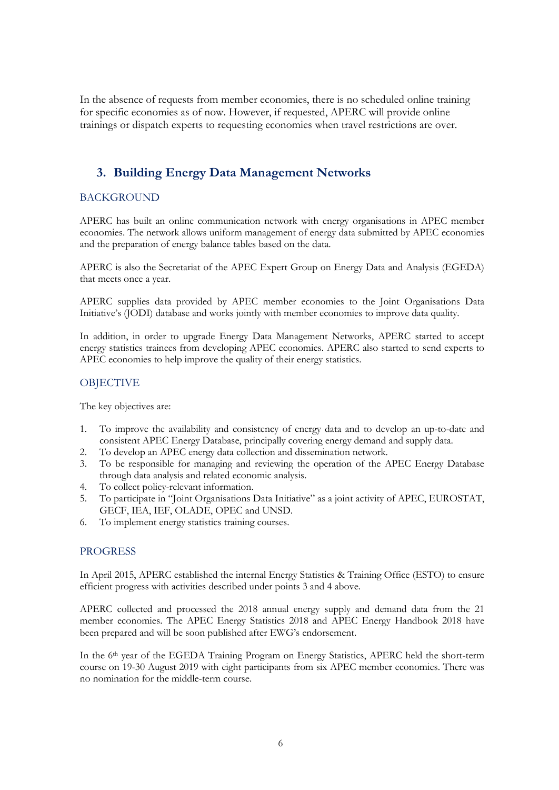In the absence of requests from member economies, there is no scheduled online training for specific economies as of now. However, if requested, APERC will provide online trainings or dispatch experts to requesting economies when travel restrictions are over.

### **3. Building Energy Data Management Networks**

### BACKGROUND

APERC has built an online communication network with energy organisations in APEC member economies. The network allows uniform management of energy data submitted by APEC economies and the preparation of energy balance tables based on the data.

APERC is also the Secretariat of the APEC Expert Group on Energy Data and Analysis (EGEDA) that meets once a year.

APERC supplies data provided by APEC member economies to the Joint Organisations Data Initiative's (JODI) database and works jointly with member economies to improve data quality.

In addition, in order to upgrade Energy Data Management Networks, APERC started to accept energy statistics trainees from developing APEC economies. APERC also started to send experts to APEC economies to help improve the quality of their energy statistics.

### **OBJECTIVE**

The key objectives are:

- 1. To improve the availability and consistency of energy data and to develop an up-to-date and consistent APEC Energy Database, principally covering energy demand and supply data.
- 2. To develop an APEC energy data collection and dissemination network.
- 3. To be responsible for managing and reviewing the operation of the APEC Energy Database through data analysis and related economic analysis.
- 4. To collect policy-relevant information.
- 5. To participate in "Joint Organisations Data Initiative" as a joint activity of APEC, EUROSTAT, GECF, IEA, IEF, OLADE, OPEC and UNSD.
- 6. To implement energy statistics training courses.

### PROGRESS

In April 2015, APERC established the internal Energy Statistics & Training Office (ESTO) to ensure efficient progress with activities described under points 3 and 4 above.

APERC collected and processed the 2018 annual energy supply and demand data from the 21 member economies. The APEC Energy Statistics 2018 and APEC Energy Handbook 2018 have been prepared and will be soon published after EWG's endorsement.

In the 6<sup>th</sup> year of the EGEDA Training Program on Energy Statistics, APERC held the short-term course on 19-30 August 2019 with eight participants from six APEC member economies. There was no nomination for the middle-term course.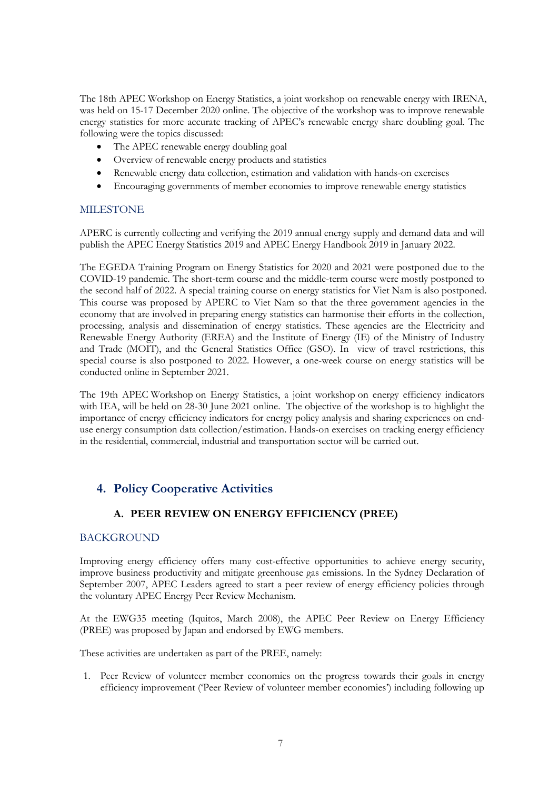The 18th APEC Workshop on Energy Statistics, a joint workshop on renewable energy with IRENA, was held on 15-17 December 2020 online. The objective of the workshop was to improve renewable energy statistics for more accurate tracking of APEC's renewable energy share doubling goal. The following were the topics discussed:

- The APEC renewable energy doubling goal
- Overview of renewable energy products and statistics
- Renewable energy data collection, estimation and validation with hands-on exercises
- Encouraging governments of member economies to improve renewable energy statistics

### MILESTONE

APERC is currently collecting and verifying the 2019 annual energy supply and demand data and will publish the APEC Energy Statistics 2019 and APEC Energy Handbook 2019 in January 2022.

The EGEDA Training Program on Energy Statistics for 2020 and 2021 were postponed due to the COVID-19 pandemic. The short-term course and the middle-term course were mostly postponed to the second half of 2022. A special training course on energy statistics for Viet Nam is also postponed. This course was proposed by APERC to Viet Nam so that the three government agencies in the economy that are involved in preparing energy statistics can harmonise their efforts in the collection, processing, analysis and dissemination of energy statistics. These agencies are the Electricity and Renewable Energy Authority (EREA) and the Institute of Energy (IE) of the Ministry of Industry and Trade (MOIT), and the General Statistics Office (GSO). In view of travel restrictions, this special course is also postponed to 2022. However, a one-week course on energy statistics will be conducted online in September 2021.

The 19th APEC Workshop on Energy Statistics, a joint workshop on energy efficiency indicators with IEA, will be held on 28-30 June 2021 online. The objective of the workshop is to highlight the importance of energy efficiency indicators for energy policy analysis and sharing experiences on enduse energy consumption data collection/estimation. Hands-on exercises on tracking energy efficiency in the residential, commercial, industrial and transportation sector will be carried out.

### **4. Policy Cooperative Activities**

### **A. PEER REVIEW ON ENERGY EFFICIENCY (PREE)**

### BACKGROUND

Improving energy efficiency offers many cost-effective opportunities to achieve energy security, improve business productivity and mitigate greenhouse gas emissions. In the Sydney Declaration of September 2007, APEC Leaders agreed to start a peer review of energy efficiency policies through the voluntary APEC Energy Peer Review Mechanism.

At the EWG35 meeting (Iquitos, March 2008), the APEC Peer Review on Energy Efficiency (PREE) was proposed by Japan and endorsed by EWG members.

These activities are undertaken as part of the PREE, namely:

1. Peer Review of volunteer member economies on the progress towards their goals in energy efficiency improvement ('Peer Review of volunteer member economies') including following up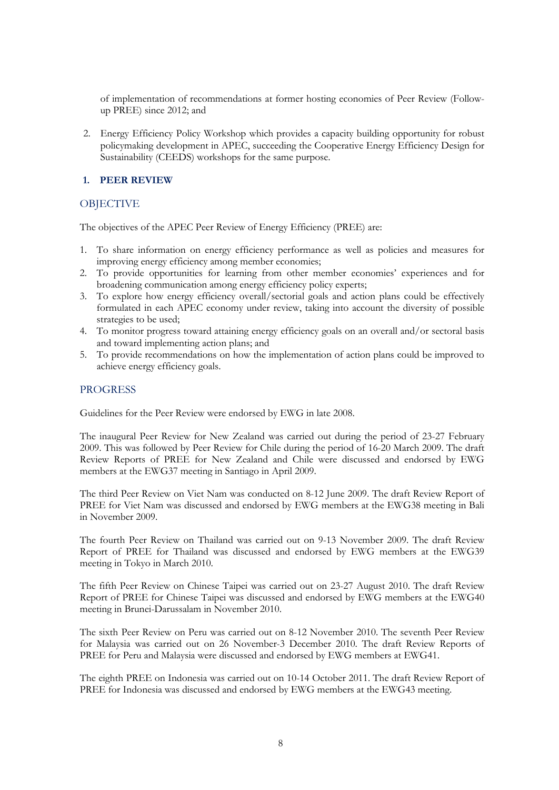of implementation of recommendations at former hosting economies of Peer Review (Followup PREE) since 2012; and

2. Energy Efficiency Policy Workshop which provides a capacity building opportunity for robust policymaking development in APEC, succeeding the Cooperative Energy Efficiency Design for Sustainability (CEEDS) workshops for the same purpose.

### **1. PEER REVIEW**

### **OBIECTIVE**

The objectives of the APEC Peer Review of Energy Efficiency (PREE) are:

- 1. To share information on energy efficiency performance as well as policies and measures for improving energy efficiency among member economies;
- 2. To provide opportunities for learning from other member economies' experiences and for broadening communication among energy efficiency policy experts;
- 3. To explore how energy efficiency overall/sectorial goals and action plans could be effectively formulated in each APEC economy under review, taking into account the diversity of possible strategies to be used;
- 4. To monitor progress toward attaining energy efficiency goals on an overall and/or sectoral basis and toward implementing action plans; and
- 5. To provide recommendations on how the implementation of action plans could be improved to achieve energy efficiency goals.

### **PROGRESS**

Guidelines for the Peer Review were endorsed by EWG in late 2008.

The inaugural Peer Review for New Zealand was carried out during the period of 23-27 February 2009. This was followed by Peer Review for Chile during the period of 16-20 March 2009. The draft Review Reports of PREE for New Zealand and Chile were discussed and endorsed by EWG members at the EWG37 meeting in Santiago in April 2009.

The third Peer Review on Viet Nam was conducted on 8-12 June 2009. The draft Review Report of PREE for Viet Nam was discussed and endorsed by EWG members at the EWG38 meeting in Bali in November 2009.

The fourth Peer Review on Thailand was carried out on 9-13 November 2009. The draft Review Report of PREE for Thailand was discussed and endorsed by EWG members at the EWG39 meeting in Tokyo in March 2010.

The fifth Peer Review on Chinese Taipei was carried out on 23-27 August 2010. The draft Review Report of PREE for Chinese Taipei was discussed and endorsed by EWG members at the EWG40 meeting in Brunei-Darussalam in November 2010.

The sixth Peer Review on Peru was carried out on 8-12 November 2010. The seventh Peer Review for Malaysia was carried out on 26 November-3 December 2010. The draft Review Reports of PREE for Peru and Malaysia were discussed and endorsed by EWG members at EWG41.

The eighth PREE on Indonesia was carried out on 10-14 October 2011. The draft Review Report of PREE for Indonesia was discussed and endorsed by EWG members at the EWG43 meeting.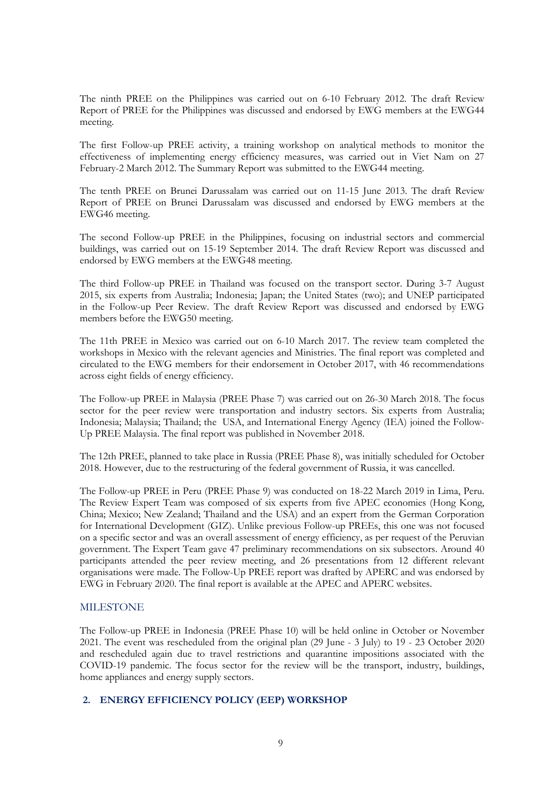The ninth PREE on the Philippines was carried out on 6-10 February 2012. The draft Review Report of PREE for the Philippines was discussed and endorsed by EWG members at the EWG44 meeting.

The first Follow-up PREE activity, a training workshop on analytical methods to monitor the effectiveness of implementing energy efficiency measures, was carried out in Viet Nam on 27 February-2 March 2012. The Summary Report was submitted to the EWG44 meeting.

The tenth PREE on Brunei Darussalam was carried out on 11-15 June 2013. The draft Review Report of PREE on Brunei Darussalam was discussed and endorsed by EWG members at the EWG46 meeting.

The second Follow-up PREE in the Philippines, focusing on industrial sectors and commercial buildings, was carried out on 15-19 September 2014. The draft Review Report was discussed and endorsed by EWG members at the EWG48 meeting.

The third Follow-up PREE in Thailand was focused on the transport sector. During 3-7 August 2015, six experts from Australia; Indonesia; Japan; the United States (two); and UNEP participated in the Follow-up Peer Review. The draft Review Report was discussed and endorsed by EWG members before the EWG50 meeting.

The 11th PREE in Mexico was carried out on 6-10 March 2017. The review team completed the workshops in Mexico with the relevant agencies and Ministries. The final report was completed and circulated to the EWG members for their endorsement in October 2017, with 46 recommendations across eight fields of energy efficiency.

The Follow-up PREE in Malaysia (PREE Phase 7) was carried out on 26-30 March 2018. The focus sector for the peer review were transportation and industry sectors. Six experts from Australia; Indonesia; Malaysia; Thailand; the USA, and International Energy Agency (IEA) joined the Follow-Up PREE Malaysia. The final report was published in November 2018.

The 12th PREE, planned to take place in Russia (PREE Phase 8), was initially scheduled for October 2018. However, due to the restructuring of the federal government of Russia, it was cancelled.

The Follow-up PREE in Peru (PREE Phase 9) was conducted on 18-22 March 2019 in Lima, Peru. The Review Expert Team was composed of six experts from five APEC economies (Hong Kong, China; Mexico; New Zealand; Thailand and the USA) and an expert from the German Corporation for International Development (GIZ). Unlike previous Follow-up PREEs, this one was not focused on a specific sector and was an overall assessment of energy efficiency, as per request of the Peruvian government. The Expert Team gave 47 preliminary recommendations on six subsectors. Around 40 participants attended the peer review meeting, and 26 presentations from 12 different relevant organisations were made. The Follow-Up PREE report was drafted by APERC and was endorsed by EWG in February 2020. The final report is available at the APEC and APERC websites.

### MILESTONE

The Follow-up PREE in Indonesia (PREE Phase 10) will be held online in October or November 2021. The event was rescheduled from the original plan (29 June - 3 July) to 19 - 23 October 2020 and rescheduled again due to travel restrictions and quarantine impositions associated with the COVID-19 pandemic. The focus sector for the review will be the transport, industry, buildings, home appliances and energy supply sectors.

#### **2. ENERGY EFFICIENCY POLICY (EEP) WORKSHOP**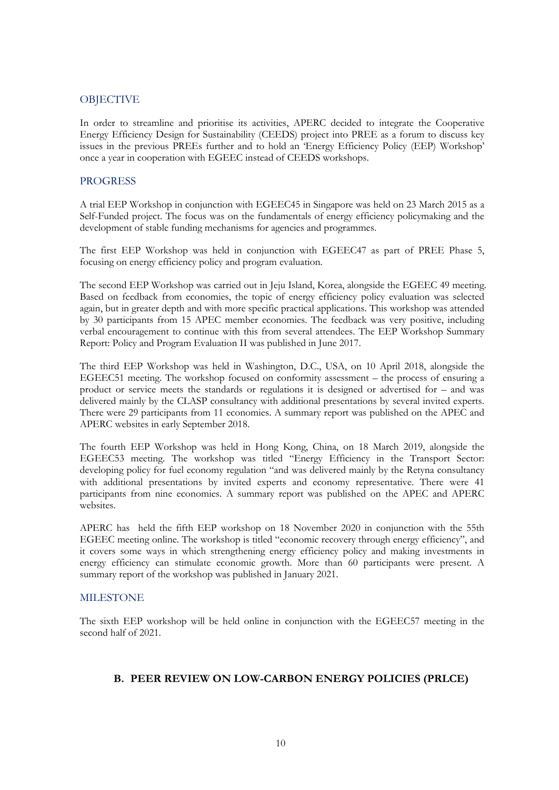### **OBJECTIVE**

In order to streamline and prioritise its activities, APERC decided to integrate the Cooperative Energy Efficiency Design for Sustainability (CEEDS) project into PREE as a forum to discuss key issues in the previous PREEs further and to hold an 'Energy Efficiency Policy (EEP) Workshop' once a year in cooperation with EGEEC instead of CEEDS workshops.

#### **PROGRESS**

A trial EEP Workshop in conjunction with EGEEC45 in Singapore was held on 23 March 2015 as a Self-Funded project. The focus was on the fundamentals of energy efficiency policymaking and the development of stable funding mechanisms for agencies and programmes.

The first EEP Workshop was held in conjunction with EGEEC47 as part of PREE Phase 5, focusing on energy efficiency policy and program evaluation.

The second EEP Workshop was carried out in Jeju Island, Korea, alongside the EGEEC 49 meeting. Based on feedback from economies, the topic of energy efficiency policy evaluation was selected again, but in greater depth and with more specific practical applications. This workshop was attended by 30 participants from 15 APEC member economies. The feedback was very positive, including verbal encouragement to continue with this from several attendees. The EEP Workshop Summary Report: Policy and Program Evaluation II was published in June 2017.

The third EEP Workshop was held in Washington, D.C., USA, on 10 April 2018, alongside the EGEEC51 meeting. The workshop focused on conformity assessment – the process of ensuring a product or service meets the standards or regulations it is designed or advertised for – and was delivered mainly by the CLASP consultancy with additional presentations by several invited experts. There were 29 participants from 11 economies. A summary report was published on the APEC and APERC websites in early September 2018.

The fourth EEP Workshop was held in Hong Kong, China, on 18 March 2019, alongside the EGEEC53 meeting. The workshop was titled "Energy Efficiency in the Transport Sector: developing policy for fuel economy regulation "and was delivered mainly by the Retyna consultancy with additional presentations by invited experts and economy representative. There were 41 participants from nine economies. A summary report was published on the APEC and APERC websites.

APERC has held the fifth EEP workshop on 18 November 2020 in conjunction with the 55th EGEEC meeting online. The workshop is titled "economic recovery through energy efficiency", and it covers some ways in which strengthening energy efficiency policy and making investments in energy efficiency can stimulate economic growth. More than 60 participants were present. A summary report of the workshop was published in January 2021.

#### MILESTONE

The sixth EEP workshop will be held online in conjunction with the EGEEC57 meeting in the second half of 2021.

### **B. PEER REVIEW ON LOW-CARBON ENERGY POLICIES (PRLCE)**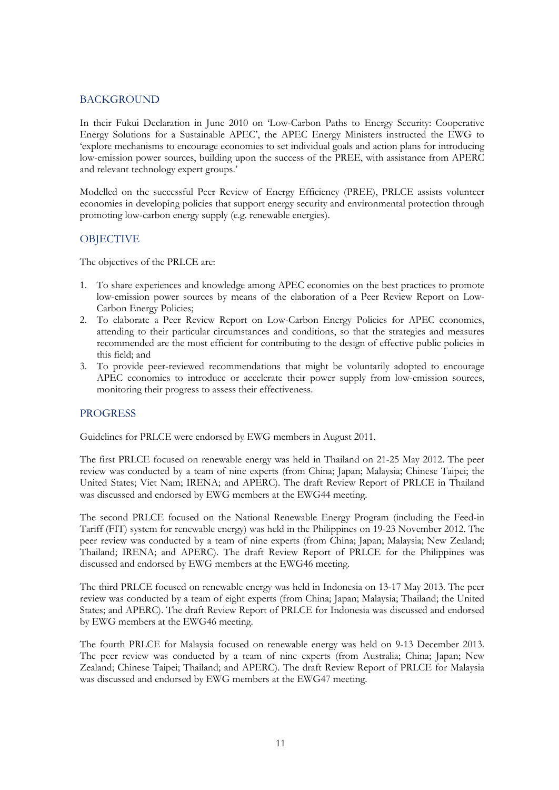### **BACKGROUND**

In their Fukui Declaration in June 2010 on 'Low-Carbon Paths to Energy Security: Cooperative Energy Solutions for a Sustainable APEC', the APEC Energy Ministers instructed the EWG to 'explore mechanisms to encourage economies to set individual goals and action plans for introducing low-emission power sources, building upon the success of the PREE, with assistance from APERC and relevant technology expert groups.'

Modelled on the successful Peer Review of Energy Efficiency (PREE), PRLCE assists volunteer economies in developing policies that support energy security and environmental protection through promoting low-carbon energy supply (e.g. renewable energies).

### **OBJECTIVE**

The objectives of the PRLCE are:

- 1. To share experiences and knowledge among APEC economies on the best practices to promote low-emission power sources by means of the elaboration of a Peer Review Report on Low-Carbon Energy Policies;
- 2. To elaborate a Peer Review Report on Low-Carbon Energy Policies for APEC economies, attending to their particular circumstances and conditions, so that the strategies and measures recommended are the most efficient for contributing to the design of effective public policies in this field; and
- 3. To provide peer-reviewed recommendations that might be voluntarily adopted to encourage APEC economies to introduce or accelerate their power supply from low-emission sources, monitoring their progress to assess their effectiveness.

### PROGRESS

Guidelines for PRLCE were endorsed by EWG members in August 2011.

The first PRLCE focused on renewable energy was held in Thailand on 21-25 May 2012. The peer review was conducted by a team of nine experts (from China; Japan; Malaysia; Chinese Taipei; the United States; Viet Nam; IRENA; and APERC). The draft Review Report of PRLCE in Thailand was discussed and endorsed by EWG members at the EWG44 meeting.

The second PRLCE focused on the National Renewable Energy Program (including the Feed-in Tariff (FIT) system for renewable energy) was held in the Philippines on 19-23 November 2012. The peer review was conducted by a team of nine experts (from China; Japan; Malaysia; New Zealand; Thailand; IRENA; and APERC). The draft Review Report of PRLCE for the Philippines was discussed and endorsed by EWG members at the EWG46 meeting.

The third PRLCE focused on renewable energy was held in Indonesia on 13-17 May 2013. The peer review was conducted by a team of eight experts (from China; Japan; Malaysia; Thailand; the United States; and APERC). The draft Review Report of PRLCE for Indonesia was discussed and endorsed by EWG members at the EWG46 meeting.

The fourth PRLCE for Malaysia focused on renewable energy was held on 9-13 December 2013. The peer review was conducted by a team of nine experts (from Australia; China; Japan; New Zealand; Chinese Taipei; Thailand; and APERC). The draft Review Report of PRLCE for Malaysia was discussed and endorsed by EWG members at the EWG47 meeting.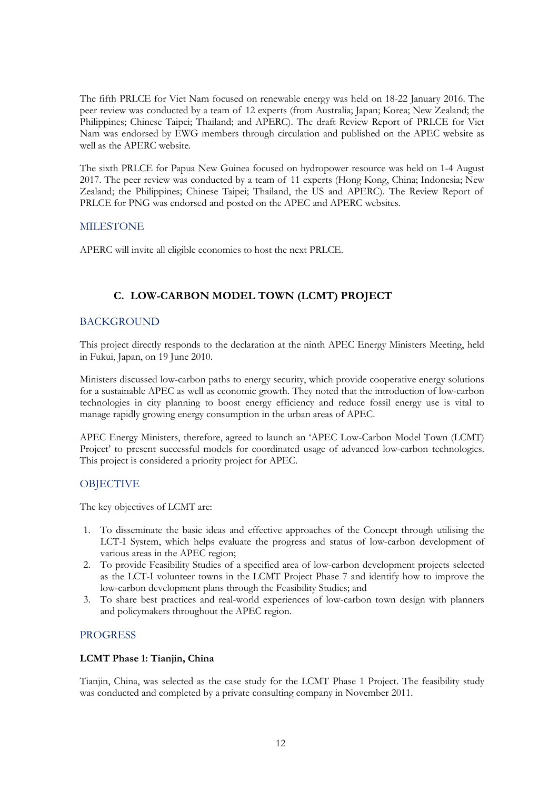The fifth PRLCE for Viet Nam focused on renewable energy was held on 18-22 January 2016. The peer review was conducted by a team of 12 experts (from Australia; Japan; Korea; New Zealand; the Philippines; Chinese Taipei; Thailand; and APERC). The draft Review Report of PRLCE for Viet Nam was endorsed by EWG members through circulation and published on the APEC website as well as the APERC website.

The sixth PRLCE for Papua New Guinea focused on hydropower resource was held on 1-4 August 2017. The peer review was conducted by a team of 11 experts (Hong Kong, China; Indonesia; New Zealand; the Philippines; Chinese Taipei; Thailand, the US and APERC). The Review Report of PRLCE for PNG was endorsed and posted on the APEC and APERC websites.

### MILESTONE

APERC will invite all eligible economies to host the next PRLCE.

### **C. LOW-CARBON MODEL TOWN (LCMT) PROJECT**

### BACKGROUND

This project directly responds to the declaration at the ninth APEC Energy Ministers Meeting, held in Fukui, Japan, on 19 June 2010.

Ministers discussed low-carbon paths to energy security, which provide cooperative energy solutions for a sustainable APEC as well as economic growth. They noted that the introduction of low-carbon technologies in city planning to boost energy efficiency and reduce fossil energy use is vital to manage rapidly growing energy consumption in the urban areas of APEC.

APEC Energy Ministers, therefore, agreed to launch an 'APEC Low-Carbon Model Town (LCMT) Project' to present successful models for coordinated usage of advanced low-carbon technologies. This project is considered a priority project for APEC.

### **OBJECTIVE**

The key objectives of LCMT are:

- 1. To disseminate the basic ideas and effective approaches of the Concept through utilising the LCT-I System, which helps evaluate the progress and status of low-carbon development of various areas in the APEC region;
- 2. To provide Feasibility Studies of a specified area of low-carbon development projects selected as the LCT-I volunteer towns in the LCMT Project Phase 7 and identify how to improve the low-carbon development plans through the Feasibility Studies; and
- 3. To share best practices and real-world experiences of low-carbon town design with planners and policymakers throughout the APEC region.

### PROGRESS

### **LCMT Phase 1: Tianjin, China**

Tianjin, China, was selected as the case study for the LCMT Phase 1 Project. The feasibility study was conducted and completed by a private consulting company in November 2011.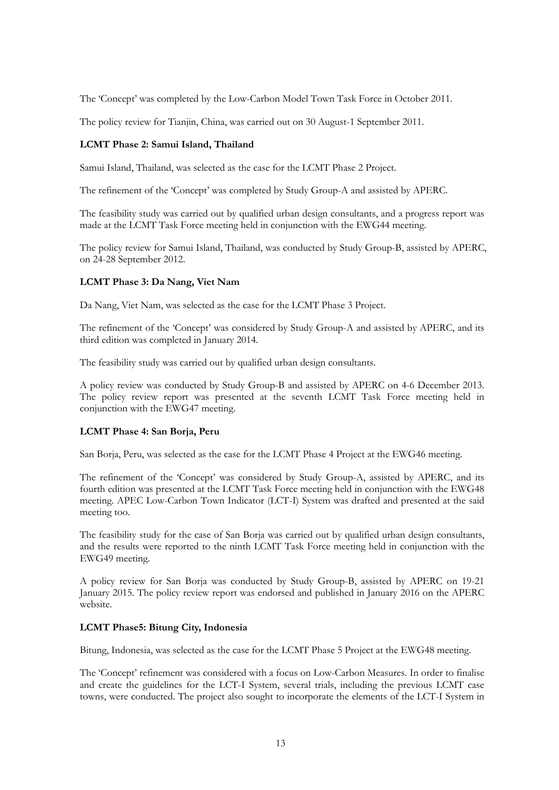The 'Concept' was completed by the Low-Carbon Model Town Task Force in October 2011.

The policy review for Tianjin, China, was carried out on 30 August-1 September 2011.

#### **LCMT Phase 2: Samui Island, Thailand**

Samui Island, Thailand, was selected as the case for the LCMT Phase 2 Project.

The refinement of the 'Concept' was completed by Study Group-A and assisted by APERC.

The feasibility study was carried out by qualified urban design consultants, and a progress report was made at the LCMT Task Force meeting held in conjunction with the EWG44 meeting.

The policy review for Samui Island, Thailand, was conducted by Study Group-B, assisted by APERC, on 24-28 September 2012.

#### **LCMT Phase 3: Da Nang, Viet Nam**

Da Nang, Viet Nam, was selected as the case for the LCMT Phase 3 Project.

The refinement of the 'Concept' was considered by Study Group-A and assisted by APERC, and its third edition was completed in January 2014.

The feasibility study was carried out by qualified urban design consultants.

A policy review was conducted by Study Group-B and assisted by APERC on 4-6 December 2013. The policy review report was presented at the seventh LCMT Task Force meeting held in conjunction with the EWG47 meeting.

#### **LCMT Phase 4: San Borja, Peru**

San Borja, Peru, was selected as the case for the LCMT Phase 4 Project at the EWG46 meeting.

The refinement of the 'Concept' was considered by Study Group-A, assisted by APERC, and its fourth edition was presented at the LCMT Task Force meeting held in conjunction with the EWG48 meeting. APEC Low-Carbon Town Indicator (LCT-I) System was drafted and presented at the said meeting too.

The feasibility study for the case of San Borja was carried out by qualified urban design consultants, and the results were reported to the ninth LCMT Task Force meeting held in conjunction with the EWG49 meeting.

A policy review for San Borja was conducted by Study Group-B, assisted by APERC on 19-21 January 2015. The policy review report was endorsed and published in January 2016 on the APERC website.

#### **LCMT Phase5: Bitung City, Indonesia**

Bitung, Indonesia, was selected as the case for the LCMT Phase 5 Project at the EWG48 meeting.

The 'Concept' refinement was considered with a focus on Low-Carbon Measures. In order to finalise and create the guidelines for the LCT-I System, several trials, including the previous LCMT case towns, were conducted. The project also sought to incorporate the elements of the LCT-I System in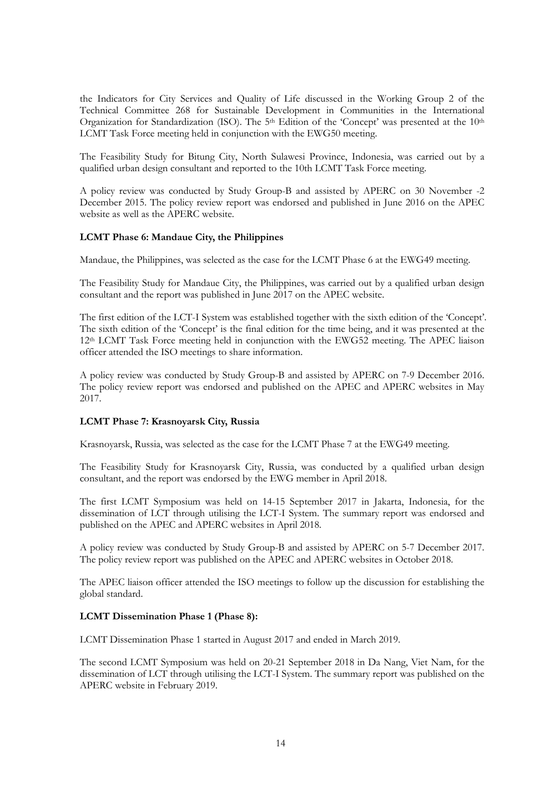the Indicators for City Services and Quality of Life discussed in the Working Group 2 of the Technical Committee 268 for Sustainable Development in Communities in the International Organization for Standardization (ISO). The 5<sup>th</sup> Edition of the 'Concept' was presented at the 10<sup>th</sup> LCMT Task Force meeting held in conjunction with the EWG50 meeting.

The Feasibility Study for Bitung City, North Sulawesi Province, Indonesia, was carried out by a qualified urban design consultant and reported to the 10th LCMT Task Force meeting.

A policy review was conducted by Study Group-B and assisted by APERC on 30 November -2 December 2015. The policy review report was endorsed and published in June 2016 on the APEC website as well as the APERC website.

#### **LCMT Phase 6: Mandaue City, the Philippines**

Mandaue, the Philippines, was selected as the case for the LCMT Phase 6 at the EWG49 meeting.

The Feasibility Study for Mandaue City, the Philippines, was carried out by a qualified urban design consultant and the report was published in June 2017 on the APEC website.

The first edition of the LCT-I System was established together with the sixth edition of the 'Concept'. The sixth edition of the 'Concept' is the final edition for the time being, and it was presented at the 12th LCMT Task Force meeting held in conjunction with the EWG52 meeting. The APEC liaison officer attended the ISO meetings to share information.

A policy review was conducted by Study Group-B and assisted by APERC on 7-9 December 2016. The policy review report was endorsed and published on the APEC and APERC websites in May 2017.

#### **LCMT Phase 7: Krasnoyarsk City, Russia**

Krasnoyarsk, Russia, was selected as the case for the LCMT Phase 7 at the EWG49 meeting.

The Feasibility Study for Krasnoyarsk City, Russia, was conducted by a qualified urban design consultant, and the report was endorsed by the EWG member in April 2018.

The first LCMT Symposium was held on 14-15 September 2017 in Jakarta, Indonesia, for the dissemination of LCT through utilising the LCT-I System. The summary report was endorsed and published on the APEC and APERC websites in April 2018.

A policy review was conducted by Study Group-B and assisted by APERC on 5-7 December 2017. The policy review report was published on the APEC and APERC websites in October 2018.

The APEC liaison officer attended the ISO meetings to follow up the discussion for establishing the global standard.

#### **LCMT Dissemination Phase 1 (Phase 8):**

LCMT Dissemination Phase 1 started in August 2017 and ended in March 2019.

The second LCMT Symposium was held on 20-21 September 2018 in Da Nang, Viet Nam, for the dissemination of LCT through utilising the LCT-I System. The summary report was published on the APERC website in February 2019.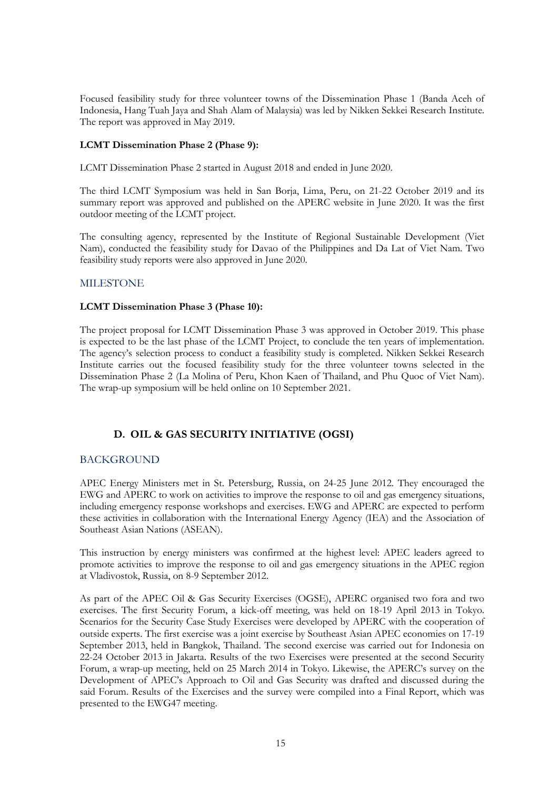Focused feasibility study for three volunteer towns of the Dissemination Phase 1 (Banda Aceh of Indonesia, Hang Tuah Jaya and Shah Alam of Malaysia) was led by Nikken Sekkei Research Institute. The report was approved in May 2019.

### **LCMT Dissemination Phase 2 (Phase 9):**

LCMT Dissemination Phase 2 started in August 2018 and ended in June 2020.

The third LCMT Symposium was held in San Borja, Lima, Peru, on 21-22 October 2019 and its summary report was approved and published on the APERC website in June 2020. It was the first outdoor meeting of the LCMT project.

The consulting agency, represented by the Institute of Regional Sustainable Development (Viet Nam), conducted the feasibility study for Davao of the Philippines and Da Lat of Viet Nam. Two feasibility study reports were also approved in June 2020.

### **MILESTONE**

### **LCMT Dissemination Phase 3 (Phase 10):**

The project proposal for LCMT Dissemination Phase 3 was approved in October 2019. This phase is expected to be the last phase of the LCMT Project, to conclude the ten years of implementation. The agency's selection process to conduct a feasibility study is completed. Nikken Sekkei Research Institute carries out the focused feasibility study for the three volunteer towns selected in the Dissemination Phase 2 (La Molina of Peru, Khon Kaen of Thailand, and Phu Quoc of Viet Nam). The wrap-up symposium will be held online on 10 September 2021.

### **D. OIL & GAS SECURITY INITIATIVE (OGSI)**

### BACKGROUND

APEC Energy Ministers met in St. Petersburg, Russia, on 24-25 June 2012. They encouraged the EWG and APERC to work on activities to improve the response to oil and gas emergency situations, including emergency response workshops and exercises. EWG and APERC are expected to perform these activities in collaboration with the International Energy Agency (IEA) and the Association of Southeast Asian Nations (ASEAN).

This instruction by energy ministers was confirmed at the highest level: APEC leaders agreed to promote activities to improve the response to oil and gas emergency situations in the APEC region at Vladivostok, Russia, on 8-9 September 2012.

As part of the APEC Oil & Gas Security Exercises (OGSE), APERC organised two fora and two exercises. The first Security Forum, a kick-off meeting, was held on 18-19 April 2013 in Tokyo. Scenarios for the Security Case Study Exercises were developed by APERC with the cooperation of outside experts. The first exercise was a joint exercise by Southeast Asian APEC economies on 17-19 September 2013, held in Bangkok, Thailand. The second exercise was carried out for Indonesia on 22-24 October 2013 in Jakarta. Results of the two Exercises were presented at the second Security Forum, a wrap-up meeting, held on 25 March 2014 in Tokyo. Likewise, the APERC's survey on the Development of APEC's Approach to Oil and Gas Security was drafted and discussed during the said Forum. Results of the Exercises and the survey were compiled into a Final Report, which was presented to the EWG47 meeting.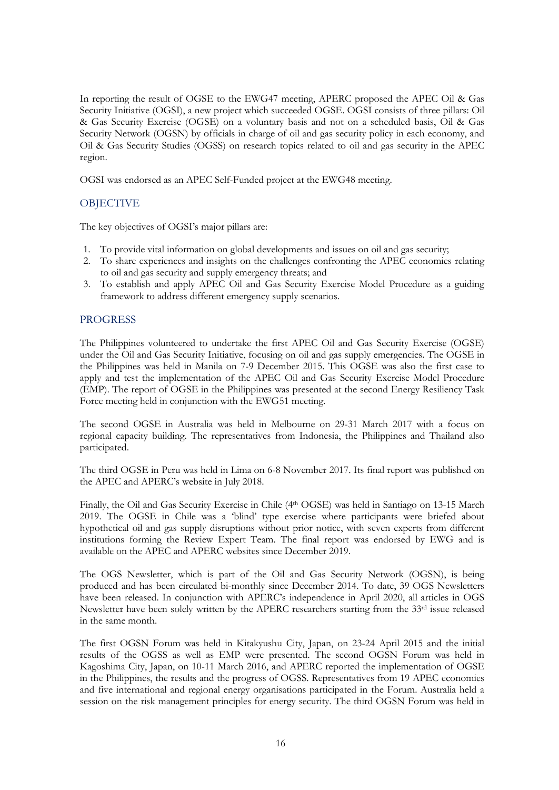In reporting the result of OGSE to the EWG47 meeting, APERC proposed the APEC Oil & Gas Security Initiative (OGSI), a new project which succeeded OGSE. OGSI consists of three pillars: Oil & Gas Security Exercise (OGSE) on a voluntary basis and not on a scheduled basis, Oil & Gas Security Network (OGSN) by officials in charge of oil and gas security policy in each economy, and Oil & Gas Security Studies (OGSS) on research topics related to oil and gas security in the APEC region.

OGSI was endorsed as an APEC Self-Funded project at the EWG48 meeting.

### **OBJECTIVE**

The key objectives of OGSI's major pillars are:

- 1. To provide vital information on global developments and issues on oil and gas security;
- 2. To share experiences and insights on the challenges confronting the APEC economies relating to oil and gas security and supply emergency threats; and
- 3. To establish and apply APEC Oil and Gas Security Exercise Model Procedure as a guiding framework to address different emergency supply scenarios.

### PROGRESS

The Philippines volunteered to undertake the first APEC Oil and Gas Security Exercise (OGSE) under the Oil and Gas Security Initiative, focusing on oil and gas supply emergencies. The OGSE in the Philippines was held in Manila on 7-9 December 2015. This OGSE was also the first case to apply and test the implementation of the APEC Oil and Gas Security Exercise Model Procedure (EMP). The report of OGSE in the Philippines was presented at the second Energy Resiliency Task Force meeting held in conjunction with the EWG51 meeting.

The second OGSE in Australia was held in Melbourne on 29-31 March 2017 with a focus on regional capacity building. The representatives from Indonesia, the Philippines and Thailand also participated.

The third OGSE in Peru was held in Lima on 6-8 November 2017. Its final report was published on the APEC and APERC's website in July 2018.

Finally, the Oil and Gas Security Exercise in Chile (4th OGSE) was held in Santiago on 13-15 March 2019. The OGSE in Chile was a 'blind' type exercise where participants were briefed about hypothetical oil and gas supply disruptions without prior notice, with seven experts from different institutions forming the Review Expert Team. The final report was endorsed by EWG and is available on the APEC and APERC websites since December 2019.

The OGS Newsletter, which is part of the Oil and Gas Security Network (OGSN), is being produced and has been circulated bi-monthly since December 2014. To date, 39 OGS Newsletters have been released. In conjunction with APERC's independence in April 2020, all articles in OGS Newsletter have been solely written by the APERC researchers starting from the 33<sup>rd</sup> issue released in the same month.

The first OGSN Forum was held in Kitakyushu City, Japan, on 23-24 April 2015 and the initial results of the OGSS as well as EMP were presented. The second OGSN Forum was held in Kagoshima City, Japan, on 10-11 March 2016, and APERC reported the implementation of OGSE in the Philippines, the results and the progress of OGSS. Representatives from 19 APEC economies and five international and regional energy organisations participated in the Forum. Australia held a session on the risk management principles for energy security. The third OGSN Forum was held in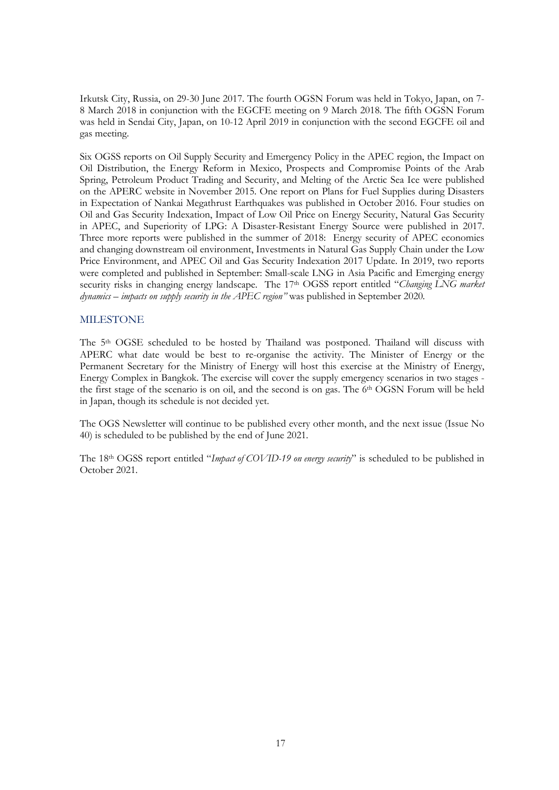Irkutsk City, Russia, on 29-30 June 2017. The fourth OGSN Forum was held in Tokyo, Japan, on 7- 8 March 2018 in conjunction with the EGCFE meeting on 9 March 2018. The fifth OGSN Forum was held in Sendai City, Japan, on 10-12 April 2019 in conjunction with the second EGCFE oil and gas meeting.

Six OGSS reports on Oil Supply Security and Emergency Policy in the APEC region, the Impact on Oil Distribution, the Energy Reform in Mexico, Prospects and Compromise Points of the Arab Spring, Petroleum Product Trading and Security, and Melting of the Arctic Sea Ice were published on the APERC website in November 2015. One report on Plans for Fuel Supplies during Disasters in Expectation of Nankai Megathrust Earthquakes was published in October 2016. Four studies on Oil and Gas Security Indexation, Impact of Low Oil Price on Energy Security, Natural Gas Security in APEC, and Superiority of LPG: A Disaster-Resistant Energy Source were published in 2017. Three more reports were published in the summer of 2018: Energy security of APEC economies and changing downstream oil environment, Investments in Natural Gas Supply Chain under the Low Price Environment, and APEC Oil and Gas Security Indexation 2017 Update. In 2019, two reports were completed and published in September: Small-scale LNG in Asia Pacific and Emerging energy security risks in changing energy landscape. The 17<sup>th</sup> OGSS report entitled "*Changing LNG market dynamics – impacts on supply security in the APEC region"* was published in September 2020*.*

### MILESTONE

The 5<sup>th</sup> OGSE scheduled to be hosted by Thailand was postponed. Thailand will discuss with APERC what date would be best to re-organise the activity. The Minister of Energy or the Permanent Secretary for the Ministry of Energy will host this exercise at the Ministry of Energy, Energy Complex in Bangkok. The exercise will cover the supply emergency scenarios in two stages the first stage of the scenario is on oil, and the second is on gas. The 6th OGSN Forum will be held in Japan, though its schedule is not decided yet.

The OGS Newsletter will continue to be published every other month, and the next issue (Issue No 40) is scheduled to be published by the end of June 2021.

The 18th OGSS report entitled "*Impact of COVID-19 on energy security*" is scheduled to be published in October 2021.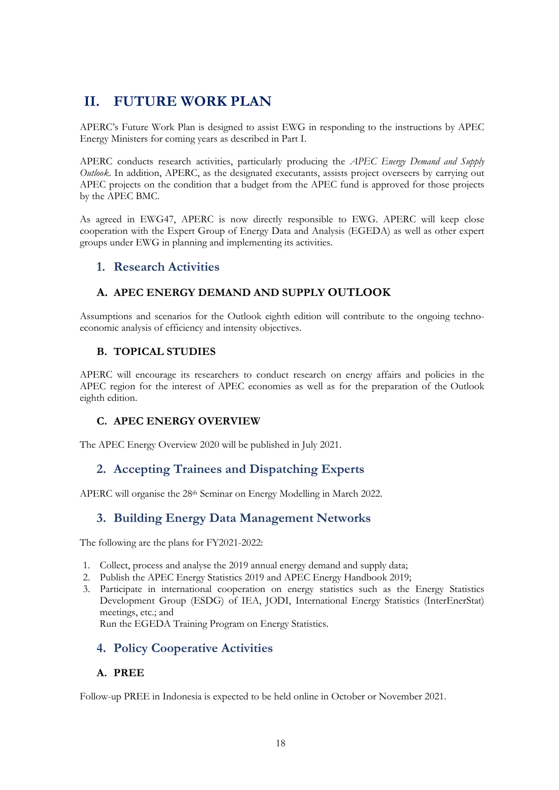# <span id="page-17-0"></span>**II. FUTURE WORK PLAN**

APERC's Future Work Plan is designed to assist EWG in responding to the instructions by APEC Energy Ministers for coming years as described in Part I.

APERC conducts research activities, particularly producing the *APEC Energy Demand and Supply Outlook*. In addition, APERC, as the designated executants, assists project overseers by carrying out APEC projects on the condition that a budget from the APEC fund is approved for those projects by the APEC BMC.

As agreed in EWG47, APERC is now directly responsible to EWG. APERC will keep close cooperation with the Expert Group of Energy Data and Analysis (EGEDA) as well as other expert groups under EWG in planning and implementing its activities.

### **1. Research Activities**

### **A. APEC ENERGY DEMAND AND SUPPLY OUTLOOK**

Assumptions and scenarios for the Outlook eighth edition will contribute to the ongoing technoeconomic analysis of efficiency and intensity objectives.

### **B. TOPICAL STUDIES**

APERC will encourage its researchers to conduct research on energy affairs and policies in the APEC region for the interest of APEC economies as well as for the preparation of the Outlook eighth edition.

### **C. APEC ENERGY OVERVIEW**

The APEC Energy Overview 2020 will be published in July 2021.

### **2. Accepting Trainees and Dispatching Experts**

APERC will organise the 28<sup>th</sup> Seminar on Energy Modelling in March 2022.

### **3. Building Energy Data Management Networks**

The following are the plans for FY2021-2022:

- 1. Collect, process and analyse the 2019 annual energy demand and supply data;
- 2. Publish the APEC Energy Statistics 2019 and APEC Energy Handbook 2019;
- 3. Participate in international cooperation on energy statistics such as the Energy Statistics Development Group (ESDG) of IEA, JODI, International Energy Statistics (InterEnerStat) meetings, etc.; and

Run the EGEDA Training Program on Energy Statistics.

### **4. Policy Cooperative Activities**

### **A. PREE**

Follow-up PREE in Indonesia is expected to be held online in October or November 2021.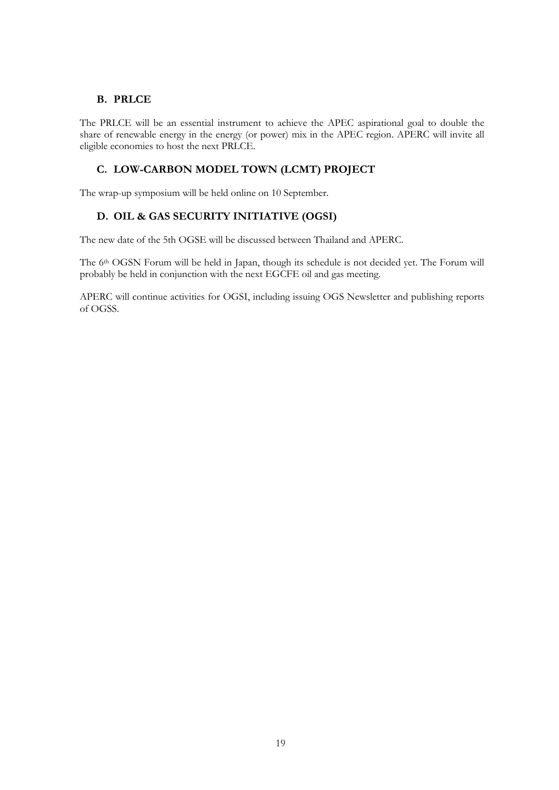### **B. PRLCE**

The PRLCE will be an essential instrument to achieve the APEC aspirational goal to double the share of renewable energy in the energy (or power) mix in the APEC region. APERC will invite all eligible economies to host the next PRLCE.

### **C. LOW-CARBON MODEL TOWN (LCMT) PROJECT**

The wrap-up symposium will be held online on 10 September.

### **D. OIL & GAS SECURITY INITIATIVE (OGSI)**

The new date of the 5th OGSE will be discussed between Thailand and APERC.

The 6<sup>th</sup> OGSN Forum will be held in Japan, though its schedule is not decided yet. The Forum will probably be held in conjunction with the next EGCFE oil and gas meeting.

APERC will continue activities for OGSI, including issuing OGS Newsletter and publishing reports of OGSS.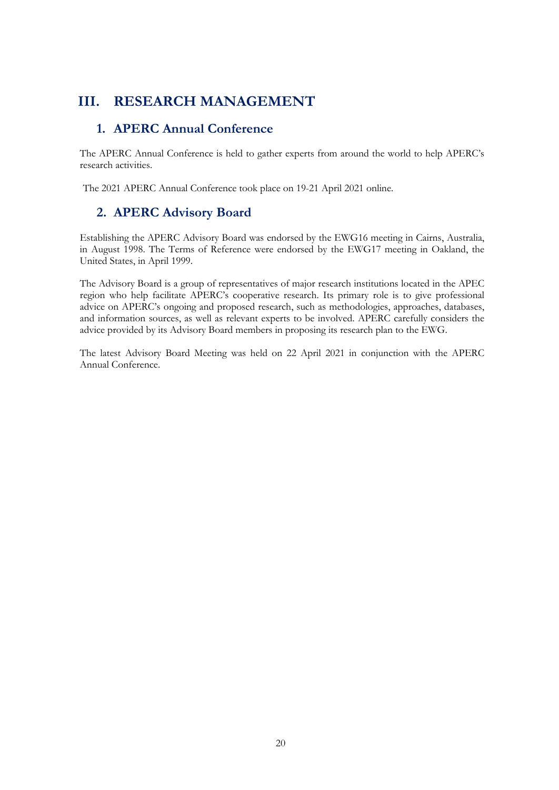## <span id="page-19-0"></span>**III. RESEARCH MANAGEMENT**

### **1. APERC Annual Conference**

The APERC Annual Conference is held to gather experts from around the world to help APERC's research activities.

The 2021 APERC Annual Conference took place on 19-21 April 2021 online.

## **2. APERC Advisory Board**

Establishing the APERC Advisory Board was endorsed by the EWG16 meeting in Cairns, Australia, in August 1998. The Terms of Reference were endorsed by the EWG17 meeting in Oakland, the United States, in April 1999.

The Advisory Board is a group of representatives of major research institutions located in the APEC region who help facilitate APERC's cooperative research. Its primary role is to give professional advice on APERC's ongoing and proposed research, such as methodologies, approaches, databases, and information sources, as well as relevant experts to be involved. APERC carefully considers the advice provided by its Advisory Board members in proposing its research plan to the EWG.

The latest Advisory Board Meeting was held on 22 April 2021 in conjunction with the APERC Annual Conference.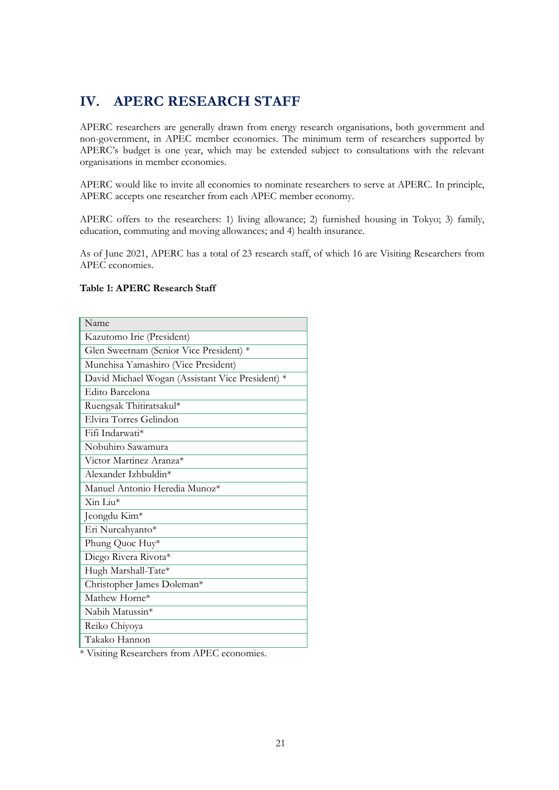# <span id="page-20-0"></span>**IV. APERC RESEARCH STAFF**

APERC researchers are generally drawn from energy research organisations, both government and non-government, in APEC member economies. The minimum term of researchers supported by APERC's budget is one year, which may be extended subject to consultations with the relevant organisations in member economies.

APERC would like to invite all economies to nominate researchers to serve at APERC. In principle, APERC accepts one researcher from each APEC member economy.

APERC offers to the researchers: 1) living allowance; 2) furnished housing in Tokyo; 3) family, education, commuting and moving allowances; and 4) health insurance.

As of June 2021, APERC has a total of 23 research staff, of which 16 are Visiting Researchers from APEC economies.

#### **Table 1: APERC Research Staff**

| Name                                             |
|--------------------------------------------------|
| Kazutomo Irie (President)                        |
| Glen Sweetnam (Senior Vice President) *          |
| Munehisa Yamashiro (Vice President)              |
| David Michael Wogan (Assistant Vice President) * |
| Edito Barcelona                                  |
| Ruengsak Thitiratsakul*                          |
| Elvira Torres Gelindon                           |
| Fifi Indarwati*                                  |
| Nobuhiro Sawamura                                |
| Victor Martinez Aranza <sup>*</sup>              |
| Alexander Izhbuldin*                             |
| Manuel Antonio Heredia Munoz*                    |
| $\overline{\mathrm{Xin}}$ Liu*                   |
| Jeongdu Kim*                                     |
| Eri Nurcahyanto*                                 |
| Phung Quoc Huy*                                  |
| Diego Rivera Rivota*                             |
| Hugh Marshall-Tate*                              |
| Christopher James Doleman*                       |
| Mathew Horne*                                    |
| Nabih Matussin*                                  |
| Reiko Chiyoya                                    |
| Takako Hannon                                    |

\* Visiting Researchers from APEC economies.